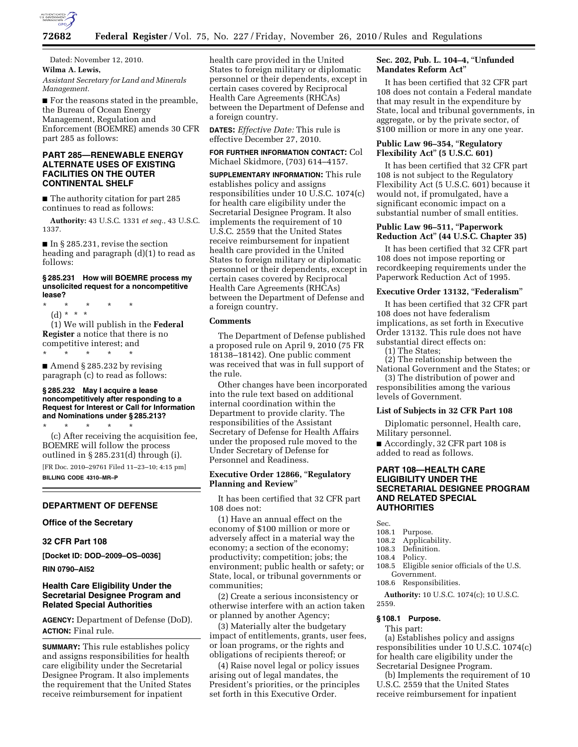

Dated: November 12, 2010. **Wilma A. Lewis,**  *Assistant Secretary for Land and Minerals Management.* 

■ For the reasons stated in the preamble, the Bureau of Ocean Energy Management, Regulation and Enforcement (BOEMRE) amends 30 CFR part 285 as follows:

# **PART 285—RENEWABLE ENERGY ALTERNATE USES OF EXISTING FACILITIES ON THE OUTER CONTINENTAL SHELF**

■ The authority citation for part 285 continues to read as follows:

**Authority:** 43 U.S.C. 1331 *et seq.*, 43 U.S.C. 1337.

■ In § 285.231, revise the section heading and paragraph (d)(1) to read as follows:

#### **§ 285.231 How will BOEMRE process my unsolicited request for a noncompetitive lease?**

\* \* \* \* \*

(d) \* \* \* (1) We will publish in the **Federal Register** a notice that there is no competitive interest; and \* \* \* \* \*

■ Amend § 285.232 by revising paragraph (c) to read as follows:

#### **§ 285.232 May I acquire a lease noncompetitively after responding to a Request for Interest or Call for Information and Nominations under § 285.213?**

\* \* \* \* \* (c) After receiving the acquisition fee, BOEMRE will follow the process outlined in § 285.231(d) through (i).

[FR Doc. 2010–29761 Filed 11–23–10; 4:15 pm]

**BILLING CODE 4310–MR–P** 

# **DEPARTMENT OF DEFENSE**

**Office of the Secretary** 

#### **32 CFR Part 108**

**[Docket ID: DOD–2009–OS–0036]** 

**RIN 0790–AI52** 

# **Health Care Eligibility Under the Secretarial Designee Program and Related Special Authorities**

**AGENCY:** Department of Defense (DoD). **ACTION:** Final rule.

**SUMMARY:** This rule establishes policy and assigns responsibilities for health care eligibility under the Secretarial Designee Program. It also implements the requirement that the United States receive reimbursement for inpatient

health care provided in the United States to foreign military or diplomatic personnel or their dependents, except in certain cases covered by Reciprocal Health Care Agreements (RHCAs) between the Department of Defense and a foreign country.

**DATES:** *Effective Date:* This rule is effective December 27, 2010.

**FOR FURTHER INFORMATION CONTACT:** Col Michael Skidmore, (703) 614–4157.

**SUPPLEMENTARY INFORMATION:** This rule establishes policy and assigns responsibilities under 10 U.S.C. 1074(c) for health care eligibility under the Secretarial Designee Program. It also implements the requirement of 10 U.S.C. 2559 that the United States receive reimbursement for inpatient health care provided in the United States to foreign military or diplomatic personnel or their dependents, except in certain cases covered by Reciprocal Health Care Agreements (RHCAs) between the Department of Defense and a foreign country.

# **Comments**

The Department of Defense published a proposed rule on April 9, 2010 (75 FR 18138–18142). One public comment was received that was in full support of the rule.

Other changes have been incorporated into the rule text based on additional internal coordination within the Department to provide clarity. The responsibilities of the Assistant Secretary of Defense for Health Affairs under the proposed rule moved to the Under Secretary of Defense for Personnel and Readiness.

#### **Executive Order 12866,** ''**Regulatory Planning and Review**''

It has been certified that 32 CFR part 108 does not:

(1) Have an annual effect on the economy of \$100 million or more or adversely affect in a material way the economy; a section of the economy; productivity; competition; jobs; the environment; public health or safety; or State, local, or tribunal governments or communities;

(2) Create a serious inconsistency or otherwise interfere with an action taken or planned by another Agency;

(3) Materially alter the budgetary impact of entitlements, grants, user fees, or loan programs, or the rights and obligations of recipients thereof; or

(4) Raise novel legal or policy issues arising out of legal mandates, the President's priorities, or the principles set forth in this Executive Order.

# **Sec. 202, Pub. L. 104–4,** ''**Unfunded Mandates Reform Act**''

It has been certified that 32 CFR part 108 does not contain a Federal mandate that may result in the expenditure by State, local and tribunal governments, in aggregate, or by the private sector, of \$100 million or more in any one year.

# **Public Law 96–354,** ''**Regulatory Flexibility Act**'' **(5 U.S.C. 601)**

It has been certified that 32 CFR part 108 is not subject to the Regulatory Flexibility Act (5 U.S.C. 601) because it would not, if promulgated, have a significant economic impact on a substantial number of small entities.

# **Public Law 96–511,** ''**Paperwork Reduction Act**'' **(44 U.S.C. Chapter 35)**

It has been certified that 32 CFR part 108 does not impose reporting or recordkeeping requirements under the Paperwork Reduction Act of 1995.

#### **Executive Order 13132,** ''**Federalism**''

It has been certified that 32 CFR part 108 does not have federalism implications, as set forth in Executive Order 13132. This rule does not have substantial direct effects on:

(1) The States;

(2) The relationship between the National Government and the States; or

(3) The distribution of power and responsibilities among the various levels of Government.

#### **List of Subjects in 32 CFR Part 108**

Diplomatic personnel, Health care, Military personnel.

■ Accordingly, 32 CFR part 108 is added to read as follows.

# **PART 108—HEALTH CARE ELIGIBILITY UNDER THE SECRETARIAL DESIGNEE PROGRAM AND RELATED SPECIAL AUTHORITIES**

Sec.

- 
- 108.1 Purpose.<br>108.2 Applical 108.2 Applicability.<br>108.3 Definition
- 108.3 Definition.<br>108.4 Policy.
- Policy.
- 108.5 Eligible senior officials of the U.S. Government.
- 108.6 Responsibilities.

**Authority:** 10 U.S.C. 1074(c); 10 U.S.C. 2559.

# **§ 108.1 Purpose.**

This part:

(a) Establishes policy and assigns responsibilities under 10 U.S.C. 1074(c) for health care eligibility under the Secretarial Designee Program.

(b) Implements the requirement of 10 U.S.C. 2559 that the United States receive reimbursement for inpatient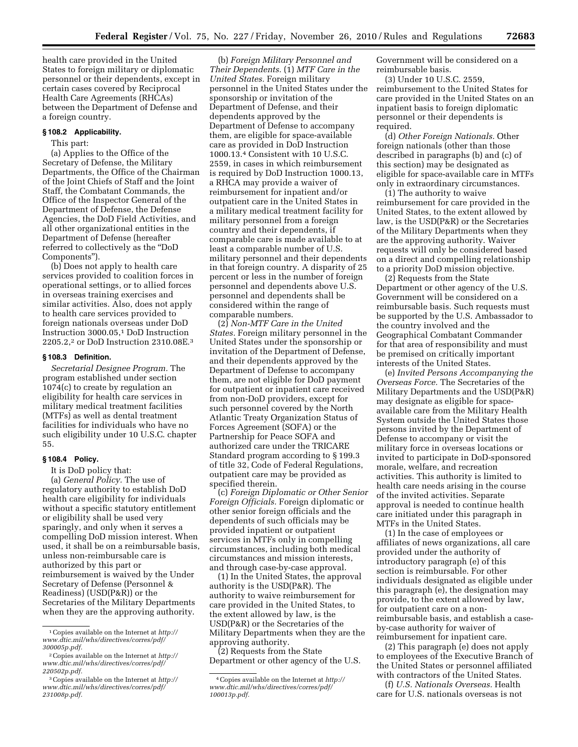health care provided in the United States to foreign military or diplomatic personnel or their dependents, except in certain cases covered by Reciprocal Health Care Agreements (RHCAs) between the Department of Defense and a foreign country.

#### **§ 108.2 Applicability.**

This part:

(a) Applies to the Office of the Secretary of Defense, the Military Departments, the Office of the Chairman of the Joint Chiefs of Staff and the Joint Staff, the Combatant Commands, the Office of the Inspector General of the Department of Defense, the Defense Agencies, the DoD Field Activities, and all other organizational entities in the Department of Defense (hereafter referred to collectively as the ''DoD Components'').

(b) Does not apply to health care services provided to coalition forces in operational settings, or to allied forces in overseas training exercises and similar activities. Also, does not apply to health care services provided to foreign nationals overseas under DoD Instruction 3000.05,1 DoD Instruction 2205.2,2 or DoD Instruction 2310.08E.3

#### **§ 108.3 Definition.**

*Secretarial Designee Program.* The program established under section 1074(c) to create by regulation an eligibility for health care services in military medical treatment facilities (MTFs) as well as dental treatment facilities for individuals who have no such eligibility under 10 U.S.C. chapter 55.

#### **§ 108.4 Policy.**

It is DoD policy that:

(a) *General Policy.* The use of regulatory authority to establish DoD health care eligibility for individuals without a specific statutory entitlement or eligibility shall be used very sparingly, and only when it serves a compelling DoD mission interest. When used, it shall be on a reimbursable basis, unless non-reimbursable care is authorized by this part or reimbursement is waived by the Under Secretary of Defense (Personnel & Readiness) (USD(P&R)) or the Secretaries of the Military Departments when they are the approving authority.

(b) *Foreign Military Personnel and Their Dependents.* (1) *MTF Care in the United States.* Foreign military personnel in the United States under the sponsorship or invitation of the Department of Defense, and their dependents approved by the Department of Defense to accompany them, are eligible for space-available care as provided in DoD Instruction 1000.13.4 Consistent with 10 U.S.C. 2559, in cases in which reimbursement is required by DoD Instruction 1000.13, a RHCA may provide a waiver of reimbursement for inpatient and/or outpatient care in the United States in a military medical treatment facility for military personnel from a foreign country and their dependents, if comparable care is made available to at least a comparable number of U.S. military personnel and their dependents in that foreign country. A disparity of 25 percent or less in the number of foreign personnel and dependents above U.S. personnel and dependents shall be considered within the range of comparable numbers.

(2) *Non-MTF Care in the United States.* Foreign military personnel in the United States under the sponsorship or invitation of the Department of Defense, and their dependents approved by the Department of Defense to accompany them, are not eligible for DoD payment for outpatient or inpatient care received from non-DoD providers, except for such personnel covered by the North Atlantic Treaty Organization Status of Forces Agreement (SOFA) or the Partnership for Peace SOFA and authorized care under the TRICARE Standard program according to § 199.3 of title 32, Code of Federal Regulations, outpatient care may be provided as specified therein.

(c) *Foreign Diplomatic or Other Senior Foreign Officials.* Foreign diplomatic or other senior foreign officials and the dependents of such officials may be provided inpatient or outpatient services in MTFs only in compelling circumstances, including both medical circumstances and mission interests, and through case-by-case approval.

(1) In the United States, the approval authority is the USD(P&R). The authority to waive reimbursement for care provided in the United States, to the extent allowed by law, is the USD(P&R) or the Secretaries of the Military Departments when they are the approving authority.

(2) Requests from the State Department or other agency of the U.S. Government will be considered on a reimbursable basis.

(3) Under 10 U.S.C. 2559, reimbursement to the United States for care provided in the United States on an inpatient basis to foreign diplomatic personnel or their dependents is required.

(d) *Other Foreign Nationals.* Other foreign nationals (other than those described in paragraphs (b) and (c) of this section) may be designated as eligible for space-available care in MTFs only in extraordinary circumstances.

(1) The authority to waive reimbursement for care provided in the United States, to the extent allowed by law, is the USD(P&R) or the Secretaries of the Military Departments when they are the approving authority. Waiver requests will only be considered based on a direct and compelling relationship to a priority DoD mission objective.

(2) Requests from the State Department or other agency of the U.S. Government will be considered on a reimbursable basis. Such requests must be supported by the U.S. Ambassador to the country involved and the Geographical Combatant Commander for that area of responsibility and must be premised on critically important interests of the United States.

(e) *Invited Persons Accompanying the Overseas Force.* The Secretaries of the Military Departments and the USD(P&R) may designate as eligible for spaceavailable care from the Military Health System outside the United States those persons invited by the Department of Defense to accompany or visit the military force in overseas locations or invited to participate in DoD-sponsored morale, welfare, and recreation activities. This authority is limited to health care needs arising in the course of the invited activities. Separate approval is needed to continue health care initiated under this paragraph in MTFs in the United States.

(1) In the case of employees or affiliates of news organizations, all care provided under the authority of introductory paragraph (e) of this section is reimbursable. For other individuals designated as eligible under this paragraph (e), the designation may provide, to the extent allowed by law, for outpatient care on a nonreimbursable basis, and establish a caseby-case authority for waiver of reimbursement for inpatient care.

(2) This paragraph (e) does not apply to employees of the Executive Branch of the United States or personnel affiliated with contractors of the United States.

(f) *U.S. Nationals Overseas.* Health care for U.S. nationals overseas is not

<sup>1</sup>Copies available on the Internet at *[http://](http://www.dtic.mil/whs/directives/corres/pdf/300005p.pdf) [www.dtic.mil/whs/directives/corres/pdf/](http://www.dtic.mil/whs/directives/corres/pdf/300005p.pdf) [300005p.pdf.](http://www.dtic.mil/whs/directives/corres/pdf/300005p.pdf)* 

<sup>2</sup>Copies available on the Internet at *[http://](http://www.dtic.mil/whs/directives/corres/pdf/220502p.pdf) [www.dtic.mil/whs/directives/corres/pdf/](http://www.dtic.mil/whs/directives/corres/pdf/220502p.pdf) [220502p.pdf.](http://www.dtic.mil/whs/directives/corres/pdf/220502p.pdf)* 

<sup>3</sup>Copies available on the Internet at *[http://](http://www.dtic.mil/whs/directives/corres/pdf/231008p.pdf) [www.dtic.mil/whs/directives/corres/pdf/](http://www.dtic.mil/whs/directives/corres/pdf/231008p.pdf) [231008p.pdf.](http://www.dtic.mil/whs/directives/corres/pdf/231008p.pdf)* 

<sup>4</sup>Copies available on the Internet at *[http://](http://www.dtic.mil/whs/directives/corres/pdf/100013p.pdf) [www.dtic.mil/whs/directives/corres/pdf/](http://www.dtic.mil/whs/directives/corres/pdf/100013p.pdf) [100013p.pdf.](http://www.dtic.mil/whs/directives/corres/pdf/100013p.pdf)*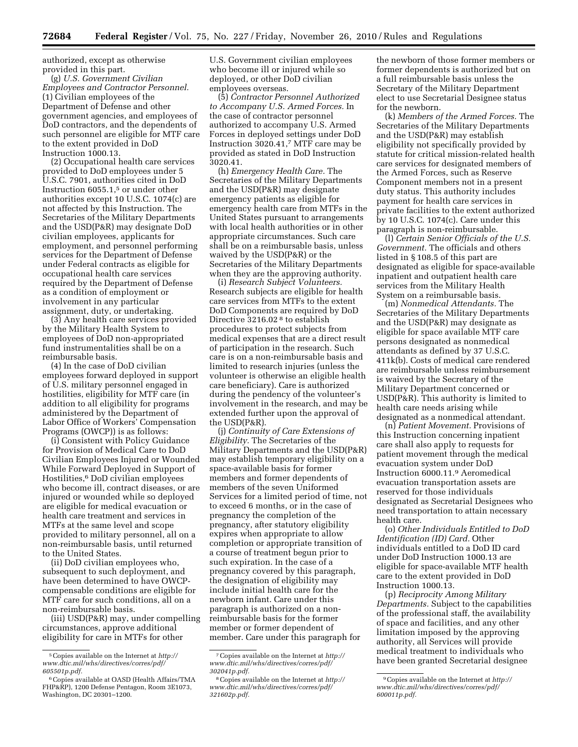authorized, except as otherwise provided in this part.

(g) *U.S. Government Civilian Employees and Contractor Personnel.*  (1) Civilian employees of the Department of Defense and other government agencies, and employees of DoD contractors, and the dependents of such personnel are eligible for MTF care to the extent provided in DoD Instruction 1000.13.

(2) Occupational health care services provided to DoD employees under 5 U.S.C. 7901, authorities cited in DoD Instruction 6055.1,5 or under other authorities except 10 U.S.C. 1074(c) are not affected by this Instruction. The Secretaries of the Military Departments and the USD(P&R) may designate DoD civilian employees, applicants for employment, and personnel performing services for the Department of Defense under Federal contracts as eligible for occupational health care services required by the Department of Defense as a condition of employment or involvement in any particular assignment, duty, or undertaking.

(3) Any health care services provided by the Military Health System to employees of DoD non-appropriated fund instrumentalities shall be on a reimbursable basis.

(4) In the case of DoD civilian employees forward deployed in support of U.S. military personnel engaged in hostilities, eligibility for MTF care (in addition to all eligibility for programs administered by the Department of Labor Office of Workers' Compensation Programs (OWCP)) is as follows:

(i) Consistent with Policy Guidance for Provision of Medical Care to DoD Civilian Employees Injured or Wounded While Forward Deployed in Support of Hostilities,<sup>6</sup> DoD civilian employees who become ill, contract diseases, or are injured or wounded while so deployed are eligible for medical evacuation or health care treatment and services in MTFs at the same level and scope provided to military personnel, all on a non-reimbursable basis, until returned to the United States.

(ii) DoD civilian employees who, subsequent to such deployment, and have been determined to have OWCPcompensable conditions are eligible for MTF care for such conditions, all on a non-reimbursable basis.

(iii) USD(P&R) may, under compelling circumstances, approve additional eligibility for care in MTFs for other

6Copies available at OASD (Health Affairs/TMA FHP&RP), 1200 Defense Pentagon, Room 3E1073, Washington, DC 20301–1200.

U.S. Government civilian employees who become ill or injured while so deployed, or other DoD civilian employees overseas.

(5) *Contractor Personnel Authorized to Accompany U.S. Armed Forces.* In the case of contractor personnel authorized to accompany U.S. Armed Forces in deployed settings under DoD Instruction 3020.41,7 MTF care may be provided as stated in DoD Instruction 3020.41.

(h) *Emergency Health Care.* The Secretaries of the Military Departments and the USD(P&R) may designate emergency patients as eligible for emergency health care from MTFs in the United States pursuant to arrangements with local health authorities or in other appropriate circumstances. Such care shall be on a reimbursable basis, unless waived by the USD(P&R) or the Secretaries of the Military Departments when they are the approving authority.

(i) *Research Subject Volunteers.*  Research subjects are eligible for health care services from MTFs to the extent DoD Components are required by DoD Directive 3216.02 8 to establish procedures to protect subjects from medical expenses that are a direct result of participation in the research. Such care is on a non-reimbursable basis and limited to research injuries (unless the volunteer is otherwise an eligible health care beneficiary). Care is authorized during the pendency of the volunteer's involvement in the research, and may be extended further upon the approval of the USD(P&R).

(j) *Continuity of Care Extensions of Eligibility.* The Secretaries of the Military Departments and the USD(P&R) may establish temporary eligibility on a space-available basis for former members and former dependents of members of the seven Uniformed Services for a limited period of time, not to exceed 6 months, or in the case of pregnancy the completion of the pregnancy, after statutory eligibility expires when appropriate to allow completion or appropriate transition of a course of treatment begun prior to such expiration. In the case of a pregnancy covered by this paragraph, the designation of eligibility may include initial health care for the newborn infant. Care under this paragraph is authorized on a nonreimbursable basis for the former member or former dependent of member. Care under this paragraph for

the newborn of those former members or former dependents is authorized but on a full reimbursable basis unless the Secretary of the Military Department elect to use Secretarial Designee status for the newborn.

(k) *Members of the Armed Forces.* The Secretaries of the Military Departments and the USD(P&R) may establish eligibility not specifically provided by statute for critical mission-related health care services for designated members of the Armed Forces, such as Reserve Component members not in a present duty status. This authority includes payment for health care services in private facilities to the extent authorized by 10 U.S.C. 1074(c). Care under this paragraph is non-reimbursable.

(l) *Certain Senior Officials of the U.S. Government.* The officials and others listed in § 108.5 of this part are designated as eligible for space-available inpatient and outpatient health care services from the Military Health System on a reimbursable basis.

(m) *Nonmedical Attendants.* The Secretaries of the Military Departments and the USD(P&R) may designate as eligible for space available MTF care persons designated as nonmedical attendants as defined by 37 U.S.C. 411k(b). Costs of medical care rendered are reimbursable unless reimbursement is waived by the Secretary of the Military Department concerned or USD(P&R). This authority is limited to health care needs arising while designated as a nonmedical attendant.

(n) *Patient Movement.* Provisions of this Instruction concerning inpatient care shall also apply to requests for patient movement through the medical evacuation system under DoD Instruction 6000.11.9 Aeromedical evacuation transportation assets are reserved for those individuals designated as Secretarial Designees who need transportation to attain necessary health care.

(o) *Other Individuals Entitled to DoD Identification (ID) Card.* Other individuals entitled to a DoD ID card under DoD Instruction 1000.13 are eligible for space-available MTF health care to the extent provided in DoD Instruction 1000.13.

(p) *Reciprocity Among Military Departments.* Subject to the capabilities of the professional staff, the availability of space and facilities, and any other limitation imposed by the approving authority, all Services will provide medical treatment to individuals who have been granted Secretarial designee

<sup>5</sup>Copies available on the Internet at *[http://](http://www.dtic.mil/whs/directives/corres/pdf/605501p.pdf) [www.dtic.mil/whs/directives/corres/pdf/](http://www.dtic.mil/whs/directives/corres/pdf/605501p.pdf) [605501p.pdf.](http://www.dtic.mil/whs/directives/corres/pdf/605501p.pdf)* 

<sup>7</sup>Copies available on the Internet at *[http://](http://www.dtic.mil/whs/directives/corres/pdf/302041p.pdf) [www.dtic.mil/whs/directives/corres/pdf/](http://www.dtic.mil/whs/directives/corres/pdf/302041p.pdf) [302041p.pdf.](http://www.dtic.mil/whs/directives/corres/pdf/302041p.pdf)* 

<sup>8</sup>Copies available on the Internet at *[http://](http://www.dtic.mil/whs/directives/corres/pdf/321602p.pdf) [www.dtic.mil/whs/directives/corres/pdf/](http://www.dtic.mil/whs/directives/corres/pdf/321602p.pdf) [321602p.pdf.](http://www.dtic.mil/whs/directives/corres/pdf/321602p.pdf)* 

<sup>9</sup>Copies available on the Internet at *[http://](http://www.dtic.mil/whs/directives/corres/pdf/600011p.pdf) [www.dtic.mil/whs/directives/corres/pdf/](http://www.dtic.mil/whs/directives/corres/pdf/600011p.pdf) [600011p.pdf.](http://www.dtic.mil/whs/directives/corres/pdf/600011p.pdf)*